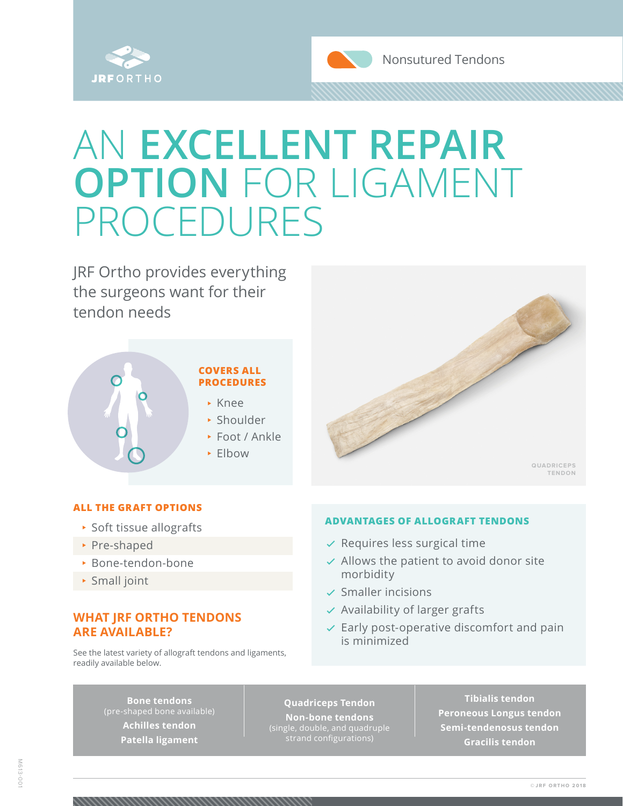



## AN **EXCELLENT REPAIR OPTION** FOR LIGAMENT PROCEDURES

JRF Ortho provides everything the surgeons want for their tendon needs



#### **ALL THE GRAFT OPTIONS**

- <sup>⊲</sup> Soft tissue allografts
- <sup>⊲</sup> Pre-shaped
- <sup>⊲</sup> Bone-tendon-bone
- <sup>⊲</sup> Small joint

### **WHAT JRF ORTHO TENDONS ARE AVAILABLE?**

See the latest variety of allograft tendons and ligaments, readily available below.

#### **ADVANTAGES OF ALLOGRAFT TENDONS**

- ✓ Requires less surgical time
- ✓ Allows the patient to avoid donor site morbidity
- ✓ Smaller incisions
- $\vee$  Availability of larger grafts
- $\vee$  Early post-operative discomfort and pain is minimized

**Bone tendons Achilles tendon Patella ligament** 

#### **Quadriceps Tendon**

**Non-bone tendons** (single, double, and quadruple

**Tibialis tendon Peroneous Longus tendon Semi-tendenosus tendon Gracilis tendon**

**QUADRICEPS TENDON**